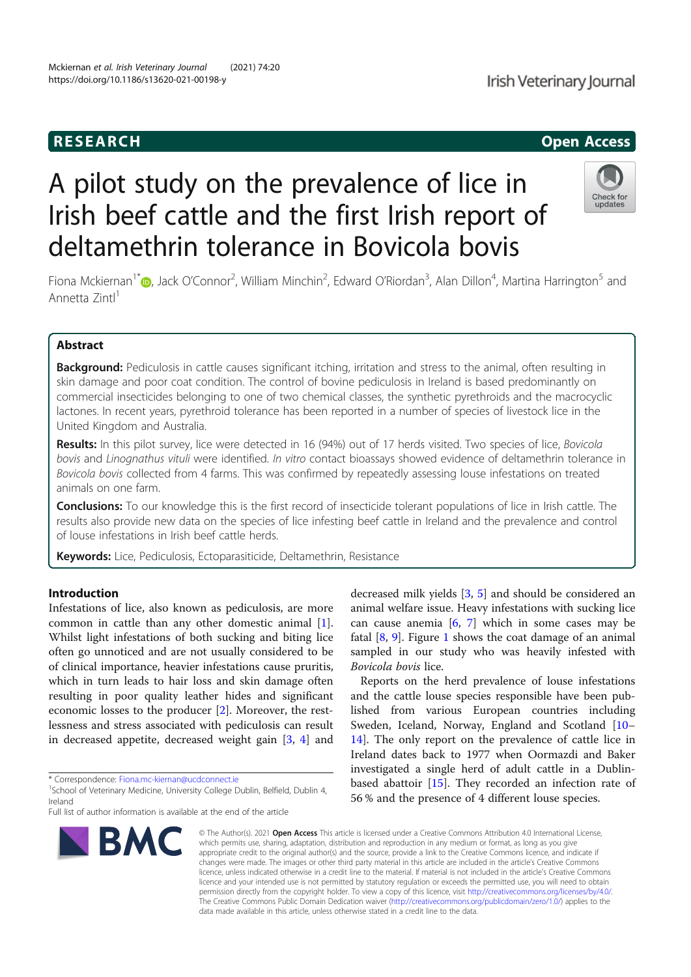# RESEARCH **CHINESE ARCHITECT CONTROL**

Irish Veterinary Journal

# A pilot study on the prevalence of lice in Irish beef cattle and the first Irish report of deltamethrin tolerance in Bovicola bovis



Fiona Mckiernan<sup>1\*</sup> (@, Jack O'Connor<sup>2</sup>, William Minchin<sup>2</sup>, Edward O'Riordan<sup>3</sup>, Alan Dillon<sup>4</sup>, Martina Harrington<sup>5</sup> and Annetta Zintl<sup>1</sup>

# Abstract

Background: Pediculosis in cattle causes significant itching, irritation and stress to the animal, often resulting in skin damage and poor coat condition. The control of bovine pediculosis in Ireland is based predominantly on commercial insecticides belonging to one of two chemical classes, the synthetic pyrethroids and the macrocyclic lactones. In recent years, pyrethroid tolerance has been reported in a number of species of livestock lice in the United Kingdom and Australia.

Results: In this pilot survey, lice were detected in 16 (94%) out of 17 herds visited. Two species of lice, Bovicola bovis and Linognathus vituli were identified. In vitro contact bioassays showed evidence of deltamethrin tolerance in Bovicola bovis collected from 4 farms. This was confirmed by repeatedly assessing louse infestations on treated animals on one farm.

Conclusions: To our knowledge this is the first record of insecticide tolerant populations of lice in Irish cattle. The results also provide new data on the species of lice infesting beef cattle in Ireland and the prevalence and control of louse infestations in Irish beef cattle herds.

Keywords: Lice, Pediculosis, Ectoparasiticide, Deltamethrin, Resistance

# Introduction

Infestations of lice, also known as pediculosis, are more common in cattle than any other domestic animal [1]. Whilst light infestations of both sucking and biting lice often go unnoticed and are not usually considered to be of clinical importance, heavier infestations cause pruritis, which in turn leads to hair loss and skin damage often resulting in poor quality leather hides and significant economic losses to the producer [2]. Moreover, the restlessness and stress associated with pediculosis can result in decreased appetite, decreased weight gain [3, 4] and

\* Correspondence: Fiona.mc-kiernan@ucdconnect.ie <sup>1</sup>

Full list of author information is available at the end of the article



decreased milk yields [3, 5] and should be considered an animal welfare issue. Heavy infestations with sucking lice can cause anemia  $[6, 7]$  which in some cases may be fatal  $[8, 9]$ . Figure 1 shows the coat damage of an animal sampled in our study who was heavily infested with Bovicola bovis lice.

Reports on the herd prevalence of louse infestations and the cattle louse species responsible have been published from various European countries including Sweden, Iceland, Norway, England and Scotland [10– 14]. The only report on the prevalence of cattle lice in Ireland dates back to 1977 when Oormazdi and Baker investigated a single herd of adult cattle in a Dublinbased abattoir [15]. They recorded an infection rate of 56 % and the presence of 4 different louse species.

© The Author(s). 2021 Open Access This article is licensed under a Creative Commons Attribution 4.0 International License, which permits use, sharing, adaptation, distribution and reproduction in any medium or format, as long as you give appropriate credit to the original author(s) and the source, provide a link to the Creative Commons licence, and indicate if changes were made. The images or other third party material in this article are included in the article's Creative Commons licence, unless indicated otherwise in a credit line to the material. If material is not included in the article's Creative Commons licence and your intended use is not permitted by statutory regulation or exceeds the permitted use, you will need to obtain permission directly from the copyright holder. To view a copy of this licence, visit http://creativecommons.org/licenses/by/4.0/. The Creative Commons Public Domain Dedication waiver (http://creativecommons.org/publicdomain/zero/1.0/) applies to the data made available in this article, unless otherwise stated in a credit line to the data.

<sup>&</sup>lt;sup>1</sup>School of Veterinary Medicine, University College Dublin, Belfield, Dublin 4, Ireland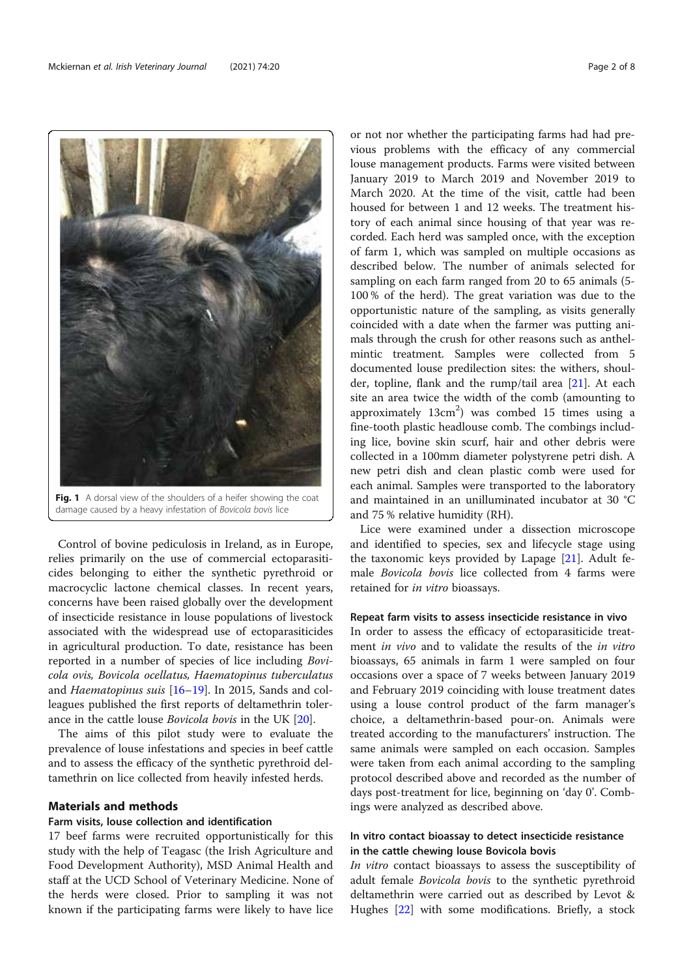

Fig. 1 A dorsal view of the shoulders of a heifer showing the coat damage caused by a heavy infestation of Bovicola bovis lice

Control of bovine pediculosis in Ireland, as in Europe, relies primarily on the use of commercial ectoparasiticides belonging to either the synthetic pyrethroid or macrocyclic lactone chemical classes. In recent years, concerns have been raised globally over the development of insecticide resistance in louse populations of livestock associated with the widespread use of ectoparasiticides in agricultural production. To date, resistance has been reported in a number of species of lice including Bovicola ovis, Bovicola ocellatus, Haematopinus tuberculatus and Haematopinus suis  $[16–19]$ . In 2015, Sands and colleagues published the first reports of deltamethrin tolerance in the cattle louse Bovicola bovis in the UK [20].

The aims of this pilot study were to evaluate the prevalence of louse infestations and species in beef cattle and to assess the efficacy of the synthetic pyrethroid deltamethrin on lice collected from heavily infested herds.

# Materials and methods

## Farm visits, louse collection and identification

17 beef farms were recruited opportunistically for this study with the help of Teagasc (the Irish Agriculture and Food Development Authority), MSD Animal Health and staff at the UCD School of Veterinary Medicine. None of the herds were closed. Prior to sampling it was not known if the participating farms were likely to have lice

or not nor whether the participating farms had had previous problems with the efficacy of any commercial louse management products. Farms were visited between January 2019 to March 2019 and November 2019 to March 2020. At the time of the visit, cattle had been housed for between 1 and 12 weeks. The treatment history of each animal since housing of that year was recorded. Each herd was sampled once, with the exception of farm 1, which was sampled on multiple occasions as described below. The number of animals selected for sampling on each farm ranged from 20 to 65 animals (5- 100 % of the herd). The great variation was due to the opportunistic nature of the sampling, as visits generally coincided with a date when the farmer was putting animals through the crush for other reasons such as anthelmintic treatment. Samples were collected from 5 documented louse predilection sites: the withers, shoulder, topline, flank and the rump/tail area [21]. At each site an area twice the width of the comb (amounting to approximately  $13 \text{cm}^2$ ) was combed 15 times using a fine-tooth plastic headlouse comb. The combings including lice, bovine skin scurf, hair and other debris were collected in a 100mm diameter polystyrene petri dish. A new petri dish and clean plastic comb were used for each animal. Samples were transported to the laboratory and maintained in an unilluminated incubator at 30 °C and 75 % relative humidity (RH).

Lice were examined under a dissection microscope and identified to species, sex and lifecycle stage using the taxonomic keys provided by Lapage [21]. Adult female Bovicola bovis lice collected from 4 farms were retained for in vitro bioassays.

# Repeat farm visits to assess insecticide resistance in vivo

In order to assess the efficacy of ectoparasiticide treatment in vivo and to validate the results of the in vitro bioassays, 65 animals in farm 1 were sampled on four occasions over a space of 7 weeks between January 2019 and February 2019 coinciding with louse treatment dates using a louse control product of the farm manager's choice, a deltamethrin-based pour-on. Animals were treated according to the manufacturers' instruction. The same animals were sampled on each occasion. Samples were taken from each animal according to the sampling protocol described above and recorded as the number of days post-treatment for lice, beginning on 'day 0'. Combings were analyzed as described above.

# In vitro contact bioassay to detect insecticide resistance in the cattle chewing louse Bovicola bovis

In vitro contact bioassays to assess the susceptibility of adult female Bovicola bovis to the synthetic pyrethroid deltamethrin were carried out as described by Levot & Hughes [22] with some modifications. Briefly, a stock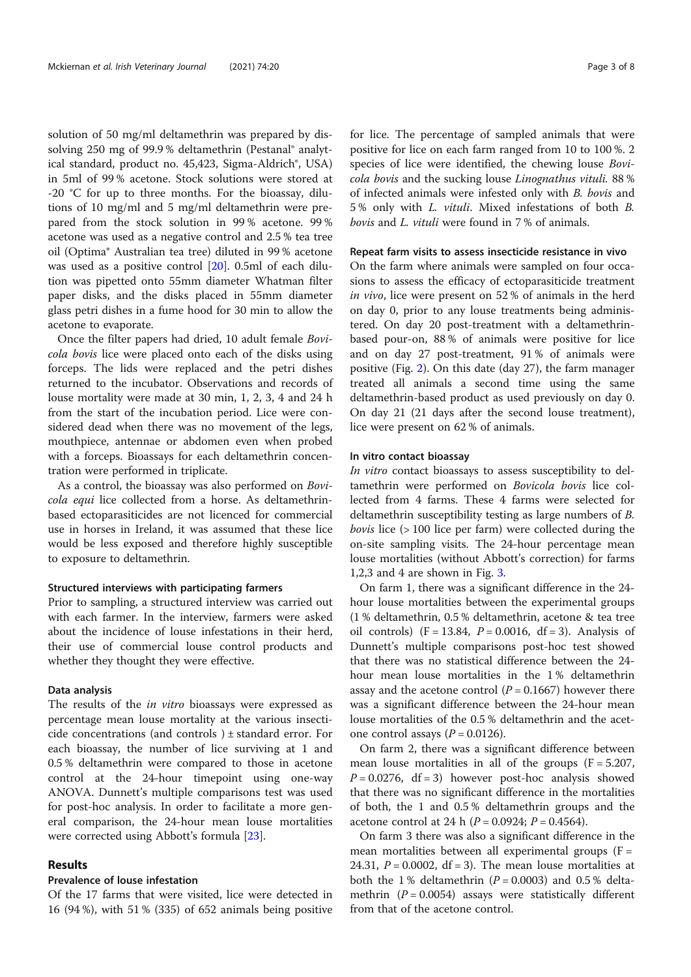solution of 50 mg/ml deltamethrin was prepared by dissolving 250 mg of 99.9% deltamethrin (Pestanal® analytical standard, product no. 45,423, Sigma-Aldrich®, USA) in 5ml of 99 % acetone. Stock solutions were stored at -20 °C for up to three months. For the bioassay, dilutions of 10 mg/ml and 5 mg/ml deltamethrin were prepared from the stock solution in 99 % acetone. 99 % acetone was used as a negative control and 2.5 % tea tree oil (Optima® Australian tea tree) diluted in 99 % acetone was used as a positive control [20]. 0.5ml of each dilution was pipetted onto 55mm diameter Whatman filter paper disks, and the disks placed in 55mm diameter glass petri dishes in a fume hood for 30 min to allow the acetone to evaporate.

Once the filter papers had dried, 10 adult female Bovicola bovis lice were placed onto each of the disks using forceps. The lids were replaced and the petri dishes returned to the incubator. Observations and records of louse mortality were made at 30 min, 1, 2, 3, 4 and 24 h from the start of the incubation period. Lice were considered dead when there was no movement of the legs, mouthpiece, antennae or abdomen even when probed with a forceps. Bioassays for each deltamethrin concentration were performed in triplicate.

As a control, the bioassay was also performed on Bovicola equi lice collected from a horse. As deltamethrinbased ectoparasiticides are not licenced for commercial use in horses in Ireland, it was assumed that these lice would be less exposed and therefore highly susceptible to exposure to deltamethrin.

#### Structured interviews with participating farmers

Prior to sampling, a structured interview was carried out with each farmer. In the interview, farmers were asked about the incidence of louse infestations in their herd, their use of commercial louse control products and whether they thought they were effective.

#### Data analysis

The results of the in vitro bioassays were expressed as percentage mean louse mortality at the various insecticide concentrations (and controls ) ± standard error. For each bioassay, the number of lice surviving at 1 and 0.5 % deltamethrin were compared to those in acetone control at the 24-hour timepoint using one-way ANOVA. Dunnett's multiple comparisons test was used for post-hoc analysis. In order to facilitate a more general comparison, the 24-hour mean louse mortalities were corrected using Abbott's formula [23].

## Results

# Prevalence of louse infestation

Of the 17 farms that were visited, lice were detected in 16 (94 %), with 51 % (335) of 652 animals being positive

for lice. The percentage of sampled animals that were positive for lice on each farm ranged from 10 to 100 %. 2 species of lice were identified, the chewing louse Bovicola bovis and the sucking louse Linognathus vituli. 88 % of infected animals were infested only with B. bovis and 5 % only with L. vituli. Mixed infestations of both B. bovis and L. vituli were found in 7 % of animals.

# Repeat farm visits to assess insecticide resistance in vivo

On the farm where animals were sampled on four occasions to assess the efficacy of ectoparasiticide treatment in vivo, lice were present on 52 % of animals in the herd on day 0, prior to any louse treatments being administered. On day 20 post-treatment with a deltamethrinbased pour-on, 88 % of animals were positive for lice and on day 27 post-treatment, 91 % of animals were positive (Fig. 2). On this date (day 27), the farm manager treated all animals a second time using the same deltamethrin-based product as used previously on day 0. On day 21 (21 days after the second louse treatment), lice were present on 62 % of animals.

# In vitro contact bioassay

In vitro contact bioassays to assess susceptibility to deltamethrin were performed on Bovicola bovis lice collected from 4 farms. These 4 farms were selected for deltamethrin susceptibility testing as large numbers of B. bovis lice (> 100 lice per farm) were collected during the on-site sampling visits. The 24-hour percentage mean louse mortalities (without Abbott's correction) for farms 1,2,3 and 4 are shown in Fig. 3.

On farm 1, there was a significant difference in the 24 hour louse mortalities between the experimental groups (1 % deltamethrin, 0.5 % deltamethrin, acetone & tea tree oil controls)  $(F = 13.84, P = 0.0016, df = 3)$ . Analysis of Dunnett's multiple comparisons post-hoc test showed that there was no statistical difference between the 24 hour mean louse mortalities in the 1 % deltamethrin assay and the acetone control  $(P = 0.1667)$  however there was a significant difference between the 24-hour mean louse mortalities of the 0.5 % deltamethrin and the acetone control assays ( $P = 0.0126$ ).

On farm 2, there was a significant difference between mean louse mortalities in all of the groups  $(F = 5.207,$  $P = 0.0276$ , df = 3) however post-hoc analysis showed that there was no significant difference in the mortalities of both, the 1 and 0.5 % deltamethrin groups and the acetone control at 24 h ( $P = 0.0924$ ;  $P = 0.4564$ ).

On farm 3 there was also a significant difference in the mean mortalities between all experimental groups  $(F =$ 24.31,  $P = 0.0002$ ,  $df = 3$ ). The mean louse mortalities at both the 1% deltamethrin ( $P = 0.0003$ ) and 0.5% deltamethrin  $(P = 0.0054)$  assays were statistically different from that of the acetone control.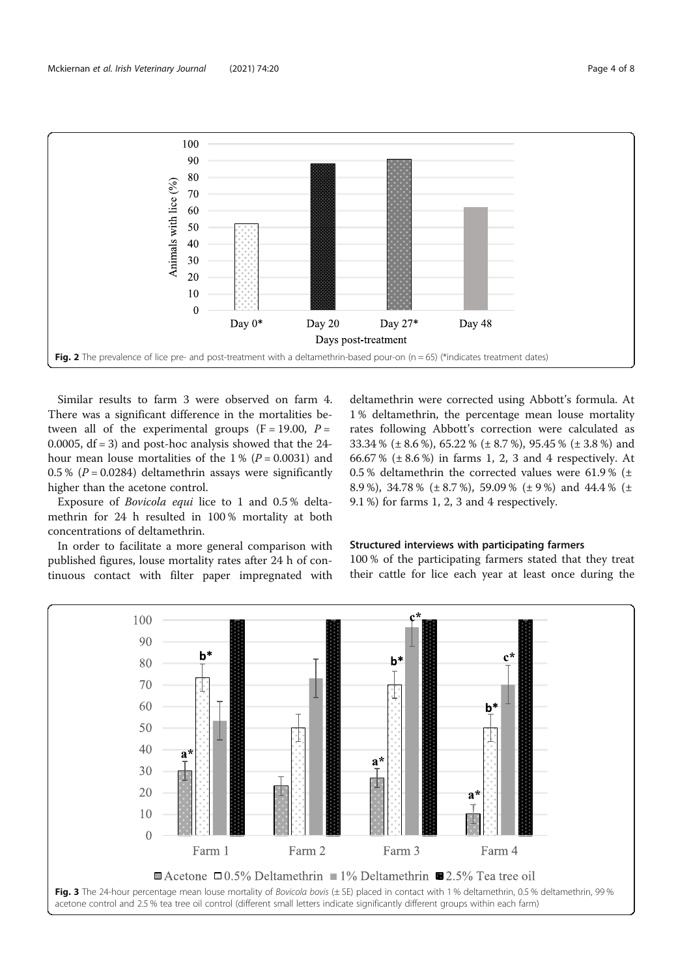

Similar results to farm 3 were observed on farm 4. There was a significant difference in the mortalities between all of the experimental groups ( $F = 19.00$ ,  $P =$ 0.0005,  $df = 3$ ) and post-hoc analysis showed that the 24hour mean louse mortalities of the 1% ( $P = 0.0031$ ) and 0.5 % ( $P = 0.0284$ ) deltamethrin assays were significantly higher than the acetone control.

Exposure of Bovicola equi lice to 1 and 0.5 % deltamethrin for 24 h resulted in 100 % mortality at both concentrations of deltamethrin.

In order to facilitate a more general comparison with published figures, louse mortality rates after 24 h of continuous contact with filter paper impregnated with deltamethrin were corrected using Abbott's formula. At 1 % deltamethrin, the percentage mean louse mortality rates following Abbott's correction were calculated as 33.34 % (± 8.6 %), 65.22 % (± 8.7 %), 95.45 % (± 3.8 %) and 66.67 % ( $\pm$  8.6 %) in farms 1, 2, 3 and 4 respectively. At 0.5 % deltamethrin the corrected values were 61.9 % ( $\pm$ 8.9 %), 34.78 % (± 8.7 %), 59.09 % (± 9 %) and 44.4 % (± 9.1 %) for farms 1, 2, 3 and 4 respectively.

# Structured interviews with participating farmers

100 % of the participating farmers stated that they treat their cattle for lice each year at least once during the

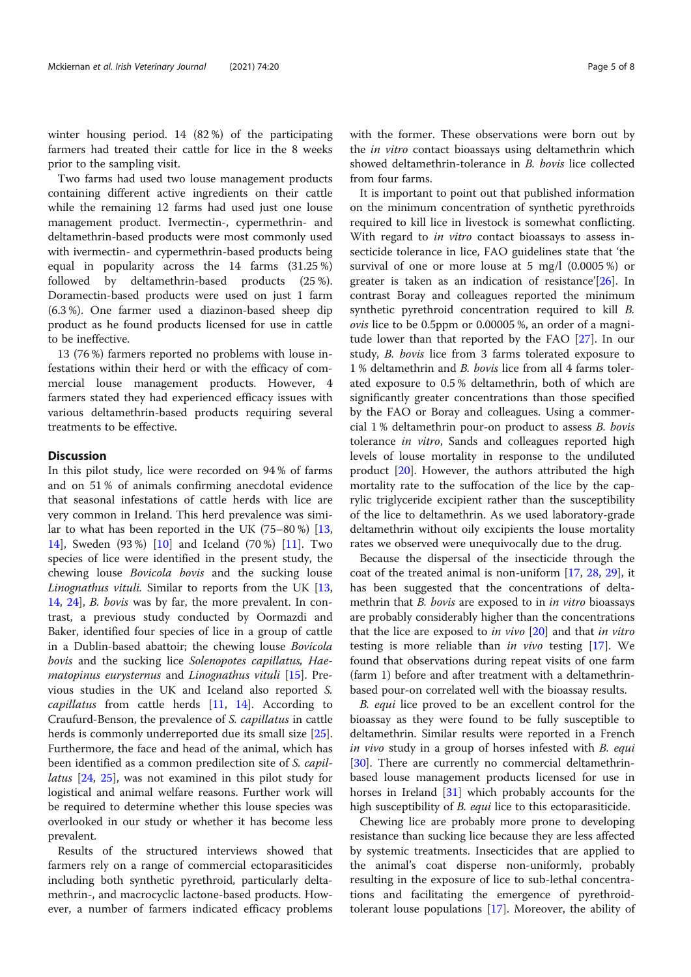winter housing period. 14 (82 %) of the participating farmers had treated their cattle for lice in the 8 weeks prior to the sampling visit.

Two farms had used two louse management products containing different active ingredients on their cattle while the remaining 12 farms had used just one louse management product. Ivermectin-, cypermethrin- and deltamethrin-based products were most commonly used with ivermectin- and cypermethrin-based products being equal in popularity across the 14 farms (31.25 %) followed by deltamethrin-based products (25 %). Doramectin-based products were used on just 1 farm (6.3 %). One farmer used a diazinon-based sheep dip product as he found products licensed for use in cattle to be ineffective.

13 (76 %) farmers reported no problems with louse infestations within their herd or with the efficacy of commercial louse management products. However, 4 farmers stated they had experienced efficacy issues with various deltamethrin-based products requiring several treatments to be effective.

# **Discussion**

In this pilot study, lice were recorded on 94 % of farms and on 51 % of animals confirming anecdotal evidence that seasonal infestations of cattle herds with lice are very common in Ireland. This herd prevalence was similar to what has been reported in the UK (75–80 %) [13, 14], Sweden (93 %) [10] and Iceland (70 %) [11]. Two species of lice were identified in the present study, the chewing louse Bovicola bovis and the sucking louse Linognathus vituli. Similar to reports from the UK [13, 14, 24], B. bovis was by far, the more prevalent. In contrast, a previous study conducted by Oormazdi and Baker, identified four species of lice in a group of cattle in a Dublin-based abattoir; the chewing louse Bovicola bovis and the sucking lice Solenopotes capillatus, Haematopinus eurysternus and Linognathus vituli [15]. Previous studies in the UK and Iceland also reported S. capillatus from cattle herds [11, 14]. According to Craufurd-Benson, the prevalence of S. capillatus in cattle herds is commonly underreported due its small size [25]. Furthermore, the face and head of the animal, which has been identified as a common predilection site of S. capillatus [24, 25], was not examined in this pilot study for logistical and animal welfare reasons. Further work will be required to determine whether this louse species was overlooked in our study or whether it has become less prevalent.

Results of the structured interviews showed that farmers rely on a range of commercial ectoparasiticides including both synthetic pyrethroid, particularly deltamethrin-, and macrocyclic lactone-based products. However, a number of farmers indicated efficacy problems with the former. These observations were born out by the *in vitro* contact bioassays using deltamethrin which showed deltamethrin-tolerance in B. bovis lice collected from four farms.

It is important to point out that published information on the minimum concentration of synthetic pyrethroids required to kill lice in livestock is somewhat conflicting. With regard to *in vitro* contact bioassays to assess insecticide tolerance in lice, FAO guidelines state that 'the survival of one or more louse at 5 mg/l (0.0005 %) or greater is taken as an indication of resistance'[26]. In contrast Boray and colleagues reported the minimum synthetic pyrethroid concentration required to kill B. ovis lice to be 0.5ppm or 0.00005 %, an order of a magnitude lower than that reported by the FAO [27]. In our study, B. bovis lice from 3 farms tolerated exposure to 1 % deltamethrin and B. bovis lice from all 4 farms tolerated exposure to 0.5 % deltamethrin, both of which are significantly greater concentrations than those specified by the FAO or Boray and colleagues. Using a commercial 1 % deltamethrin pour-on product to assess B. bovis tolerance in vitro, Sands and colleagues reported high levels of louse mortality in response to the undiluted product [20]. However, the authors attributed the high mortality rate to the suffocation of the lice by the caprylic triglyceride excipient rather than the susceptibility of the lice to deltamethrin. As we used laboratory-grade deltamethrin without oily excipients the louse mortality rates we observed were unequivocally due to the drug.

Because the dispersal of the insecticide through the coat of the treated animal is non-uniform [17, 28, 29], it has been suggested that the concentrations of deltamethrin that B. bovis are exposed to in in vitro bioassays are probably considerably higher than the concentrations that the lice are exposed to in vivo  $[20]$  and that in vitro testing is more reliable than in vivo testing [17]. We found that observations during repeat visits of one farm (farm 1) before and after treatment with a deltamethrinbased pour-on correlated well with the bioassay results.

B. equi lice proved to be an excellent control for the bioassay as they were found to be fully susceptible to deltamethrin. Similar results were reported in a French in vivo study in a group of horses infested with B. equi [30]. There are currently no commercial deltamethrinbased louse management products licensed for use in horses in Ireland [31] which probably accounts for the high susceptibility of *B. equi* lice to this ectoparasiticide.

Chewing lice are probably more prone to developing resistance than sucking lice because they are less affected by systemic treatments. Insecticides that are applied to the animal's coat disperse non-uniformly, probably resulting in the exposure of lice to sub-lethal concentrations and facilitating the emergence of pyrethroidtolerant louse populations [17]. Moreover, the ability of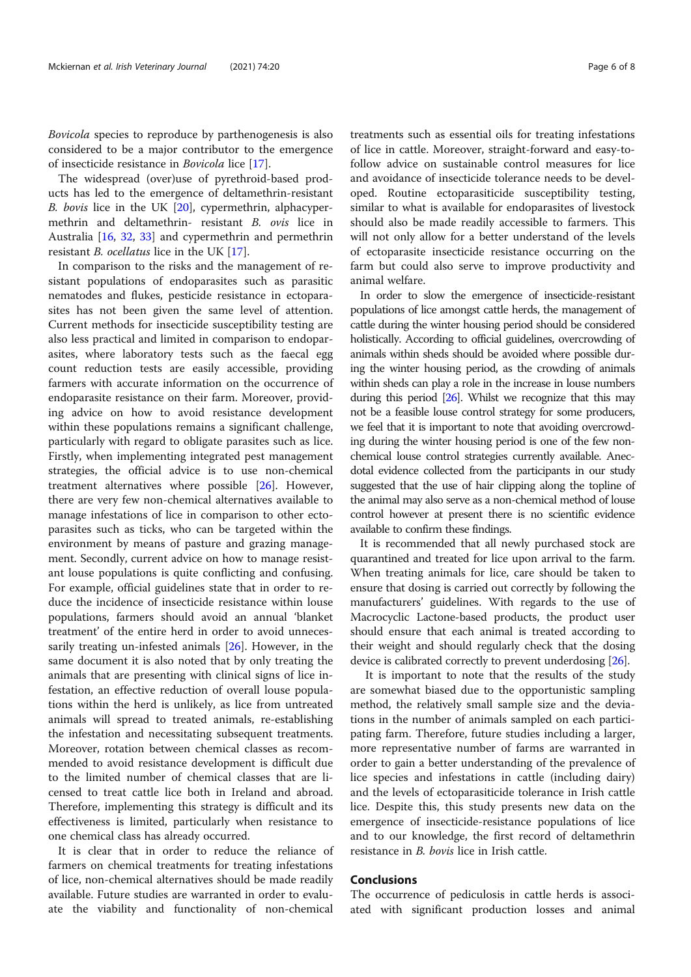Bovicola species to reproduce by parthenogenesis is also considered to be a major contributor to the emergence of insecticide resistance in Bovicola lice [17].

The widespread (over)use of pyrethroid-based products has led to the emergence of deltamethrin-resistant B. bovis lice in the UK [20], cypermethrin, alphacypermethrin and deltamethrin- resistant B. ovis lice in Australia [16, 32, 33] and cypermethrin and permethrin resistant *B. ocellatus* lice in the UK [17].

In comparison to the risks and the management of resistant populations of endoparasites such as parasitic nematodes and flukes, pesticide resistance in ectoparasites has not been given the same level of attention. Current methods for insecticide susceptibility testing are also less practical and limited in comparison to endoparasites, where laboratory tests such as the faecal egg count reduction tests are easily accessible, providing farmers with accurate information on the occurrence of endoparasite resistance on their farm. Moreover, providing advice on how to avoid resistance development within these populations remains a significant challenge, particularly with regard to obligate parasites such as lice. Firstly, when implementing integrated pest management strategies, the official advice is to use non-chemical treatment alternatives where possible [26]. However, there are very few non-chemical alternatives available to manage infestations of lice in comparison to other ectoparasites such as ticks, who can be targeted within the environment by means of pasture and grazing management. Secondly, current advice on how to manage resistant louse populations is quite conflicting and confusing. For example, official guidelines state that in order to reduce the incidence of insecticide resistance within louse populations, farmers should avoid an annual 'blanket treatment' of the entire herd in order to avoid unnecessarily treating un-infested animals [26]. However, in the same document it is also noted that by only treating the animals that are presenting with clinical signs of lice infestation, an effective reduction of overall louse populations within the herd is unlikely, as lice from untreated animals will spread to treated animals, re-establishing the infestation and necessitating subsequent treatments. Moreover, rotation between chemical classes as recommended to avoid resistance development is difficult due to the limited number of chemical classes that are licensed to treat cattle lice both in Ireland and abroad. Therefore, implementing this strategy is difficult and its effectiveness is limited, particularly when resistance to one chemical class has already occurred.

It is clear that in order to reduce the reliance of farmers on chemical treatments for treating infestations of lice, non-chemical alternatives should be made readily available. Future studies are warranted in order to evaluate the viability and functionality of non-chemical

treatments such as essential oils for treating infestations of lice in cattle. Moreover, straight-forward and easy-tofollow advice on sustainable control measures for lice and avoidance of insecticide tolerance needs to be developed. Routine ectoparasiticide susceptibility testing, similar to what is available for endoparasites of livestock should also be made readily accessible to farmers. This will not only allow for a better understand of the levels of ectoparasite insecticide resistance occurring on the farm but could also serve to improve productivity and animal welfare.

In order to slow the emergence of insecticide-resistant populations of lice amongst cattle herds, the management of cattle during the winter housing period should be considered holistically. According to official guidelines, overcrowding of animals within sheds should be avoided where possible during the winter housing period, as the crowding of animals within sheds can play a role in the increase in louse numbers during this period [26]. Whilst we recognize that this may not be a feasible louse control strategy for some producers, we feel that it is important to note that avoiding overcrowding during the winter housing period is one of the few nonchemical louse control strategies currently available. Anecdotal evidence collected from the participants in our study suggested that the use of hair clipping along the topline of the animal may also serve as a non-chemical method of louse control however at present there is no scientific evidence available to confirm these findings.

It is recommended that all newly purchased stock are quarantined and treated for lice upon arrival to the farm. When treating animals for lice, care should be taken to ensure that dosing is carried out correctly by following the manufacturers' guidelines. With regards to the use of Macrocyclic Lactone-based products, the product user should ensure that each animal is treated according to their weight and should regularly check that the dosing device is calibrated correctly to prevent underdosing [26].

It is important to note that the results of the study are somewhat biased due to the opportunistic sampling method, the relatively small sample size and the deviations in the number of animals sampled on each participating farm. Therefore, future studies including a larger, more representative number of farms are warranted in order to gain a better understanding of the prevalence of lice species and infestations in cattle (including dairy) and the levels of ectoparasiticide tolerance in Irish cattle lice. Despite this, this study presents new data on the emergence of insecticide-resistance populations of lice and to our knowledge, the first record of deltamethrin resistance in B. bovis lice in Irish cattle.

# Conclusions

The occurrence of pediculosis in cattle herds is associated with significant production losses and animal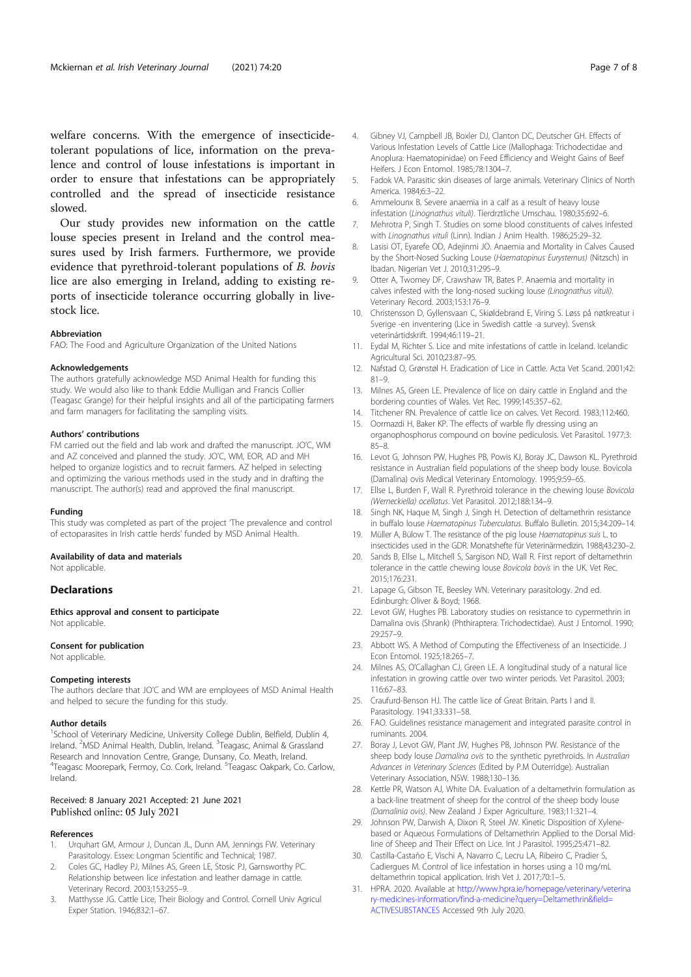welfare concerns. With the emergence of insecticidetolerant populations of lice, information on the prevalence and control of louse infestations is important in order to ensure that infestations can be appropriately controlled and the spread of insecticide resistance slowed.

Our study provides new information on the cattle louse species present in Ireland and the control measures used by Irish farmers. Furthermore, we provide evidence that pyrethroid-tolerant populations of B. bovis lice are also emerging in Ireland, adding to existing reports of insecticide tolerance occurring globally in livestock lice.

#### Abbreviation

FAO: The Food and Agriculture Organization of the United Nations

#### Acknowledgements

The authors gratefully acknowledge MSD Animal Health for funding this study. We would also like to thank Eddie Mulligan and Francis Collier (Teagasc Grange) for their helpful insights and all of the participating farmers and farm managers for facilitating the sampling visits.

#### Authors' contributions

FM carried out the field and lab work and drafted the manuscript. JO'C, WM and AZ conceived and planned the study. JO'C, WM, EOR, AD and MH helped to organize logistics and to recruit farmers. AZ helped in selecting and optimizing the various methods used in the study and in drafting the manuscript. The author(s) read and approved the final manuscript.

#### Funding

This study was completed as part of the project The prevalence and control of ectoparasites in Irish cattle herds' funded by MSD Animal Health.

#### Availability of data and materials

Not applicable.

#### **Declarations**

Ethics approval and consent to participate Not applicable.

# Consent for publication

Not applicable.

#### Competing interests

The authors declare that JO'C and WM are employees of MSD Animal Health and helped to secure the funding for this study.

#### Author details

<sup>1</sup>School of Veterinary Medicine, University College Dublin, Belfield, Dublin 4, Ireland. <sup>2</sup>MSD Animal Health, Dublin, Ireland. <sup>3</sup>Teagasc, Animal & Grassland Research and Innovation Centre, Grange, Dunsany, Co. Meath, Ireland. <sup>4</sup>Teagasc Moorepark, Fermoy, Co. Cork, Ireland. <sup>5</sup>Teagasc Oakpark, Co. Carlow, Ireland.

# Received: 8 January 2021 Accepted: 21 June 2021<br>Published online: 05 July 2021

#### References

- 1. Urquhart GM, Armour J, Duncan JL, Dunn AM, Jennings FW. Veterinary Parasitology. Essex: Longman Scientific and Technical; 1987.
- 2. Coles GC, Hadley PJ, Milnes AS, Green LE, Stosic PJ, Garnsworthy PC. Relationship between lice infestation and leather damage in cattle. Veterinary Record. 2003;153:255–9.
- 3. Matthysse JG. Cattle Lice, Their Biology and Control. Cornell Univ Agricul Exper Station. 1946;832:1–67.
- 4. Gibney VJ, Campbell JB, Boxler DJ, Clanton DC, Deutscher GH. Effects of Various Infestation Levels of Cattle Lice (Mallophaga: Trichodectidae and Anoplura: Haematopinidae) on Feed Efficiency and Weight Gains of Beef Heifers. J Econ Entomol. 1985;78:1304–7.
- 5. Fadok VA. Parasitic skin diseases of large animals. Veterinary Clinics of North America. 1984;6:3–22.
- 6. Ammelounx B. Severe anaemia in a calf as a result of heavy louse infestation (Linognathus vituli). Tierdrztliche Umschau. 1980;35:692–6.
- 7. Mehrotra P, Singh T. Studies on some blood constituents of calves infested with Linognathus vituli (Linn). Indian J Anim Health. 1986;25:29-32.
- 8. Lasisi OT, Eyarefe OD, Adejinmi JO. Anaemia and Mortality in Calves Caused by the Short-Nosed Sucking Louse (Haematopinus Eurysternus) (Nitzsch) in Ibadan. Nigerian Vet J. 2010;31:295–9.
- 9. Otter A, Twomey DF, Crawshaw TR, Bates P. Anaemia and mortality in calves infested with the long-nosed sucking louse (Linognathus vituli). Veterinary Record. 2003;153:176–9.
- 10. Christensson D, Gyllensvaan C, Skiøldebrand E, Viring S. Løss på nøtkreatur i Sverige -en inventering (Lice in Swedish cattle -a survey). Svensk veterinártidskrift. 1994;46:119–21.
- 11. Eydal M, Richter S. Lice and mite infestations of cattle in Iceland. Icelandic Agricultural Sci. 2010;23:87–95.
- 12. Nafstad O, Grønstøl H. Eradication of Lice in Cattle. Acta Vet Scand. 2001;42: 81–9.
- 13. Milnes AS, Green LE. Prevalence of lice on dairy cattle in England and the bordering counties of Wales. Vet Rec. 1999;145:357–62.
- 14. Titchener RN. Prevalence of cattle lice on calves. Vet Record. 1983;112:460.
- 15. Oormazdi H, Baker KP. The effects of warble fly dressing using an organophosphorus compound on bovine pediculosis. Vet Parasitol. 1977;3: 85–8.
- 16. Levot G, Johnson PW, Hughes PB, Powis KJ, Boray JC, Dawson KL. Pyrethroid resistance in Australian field populations of the sheep body louse. Bovicola (Damalina) ovis Medical Veterinary Entomology. 1995;9:59–65.
- 17. Ellse L, Burden F, Wall R. Pyrethroid tolerance in the chewing louse Bovicola (Werneckiella) ocellatus. Vet Parasitol. 2012;188:134–9.
- 18. Singh NK, Haque M, Singh J, Singh H. Detection of deltamethrin resistance in buffalo louse Haematopinus Tuberculatus. Buffalo Bulletin. 2015;34:209–14.
- 19. Müller A, Bülow T. The resistance of the pig louse Haematopinus suis L. to insecticides used in the GDR. Monatshefte für Veterinärmedizin. 1988;43:230–2.
- 20. Sands B, Ellse L, Mitchell S, Sargison ND, Wall R. First report of deltamethrin tolerance in the cattle chewing louse Bovicola bovis in the UK. Vet Rec. 2015;176:231.
- 21. Lapage G, Gibson TE, Beesley WN. Veterinary parasitology. 2nd ed. Edinburgh: Oliver & Boyd; 1968.
- 22. Levot GW, Hughes PB. Laboratory studies on resistance to cypermethrin in Damalina ovis (Shrank) (Phthiraptera: Trichodectidae). Aust J Entomol. 1990; 29:257–9.
- 23. Abbott WS. A Method of Computing the Effectiveness of an Insecticide. J Econ Entomol. 1925;18:265–7.
- 24. Milnes AS, O'Callaghan CJ, Green LE. A longitudinal study of a natural lice infestation in growing cattle over two winter periods. Vet Parasitol. 2003; 116:67–83.
- 25. Craufurd-Benson HJ. The cattle lice of Great Britain. Parts I and II. Parasitology. 1941;33:331–58.
- 26. FAO. Guidelines resistance management and integrated parasite control in ruminants. 2004.
- 27. Boray J, Levot GW, Plant JW, Hughes PB, Johnson PW. Resistance of the sheep body louse Damalina ovis to the synthetic pyrethroids. In Australian Advances in Veterinary Sciences (Edited by P.M Outerridge). Australian Veterinary Association, NSW. 1988;130–136.
- 28. Kettle PR, Watson AJ, White DA. Evaluation of a deltamethrin formulation as a back-line treatment of sheep for the control of the sheep body louse (Damalinia ovis). New Zealand J Exper Agriculture. 1983;11:321–4.
- 29. Johnson PW, Darwish A, Dixon R, Steel JW. Kinetic Disposition of Xylenebased or Aqueous Formulations of Deltamethrin Applied to the Dorsal Midline of Sheep and Their Effect on Lice. Int J Parasitol. 1995;25:471–82.
- 30. Castilla-Castaño E, Vischi A, Navarro C, Lecru LA, Ribeiro C, Pradier S, Cadiergues M. Control of lice infestation in horses using a 10 mg/mL deltamethrin topical application. Irish Vet J. 2017;70:1–5.
- 31. HPRA. 2020. Available at http://www.hpra.ie/homepage/veterinary/veterina ry-medicines-information/find-a-medicine?query=Deltamethrin&field= ACTIVESUBSTANCES Accessed 9th July 2020.